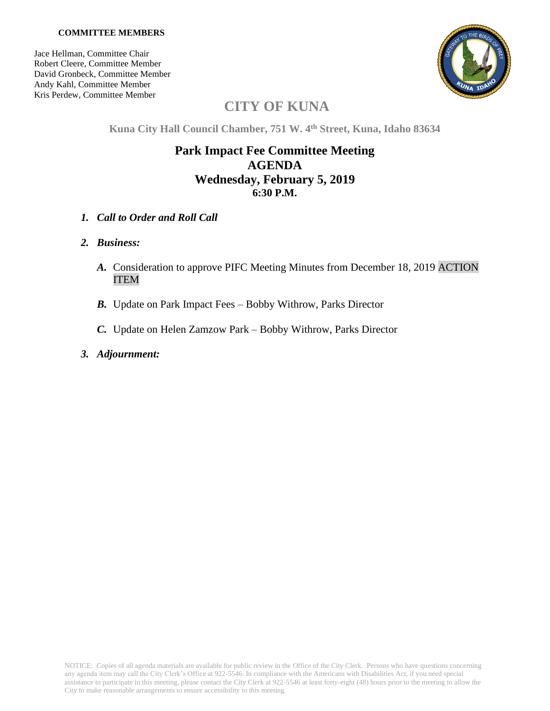#### **COMMITTEE MEMBERS**

Jace Hellman, Committee Chair Robert Cleere, Committee Member David Gronbeck, Committee Member Andy Kahl, Committee Member Kris Perdew, Committee Member



# **CITY OF KUNA**

**Kuna City Hall Council Chamber, 751 W. 4 th Street, Kuna, Idaho 83634**

## **Park Impact Fee Committee Meeting AGENDA Wednesday, February 5, 2019 6:30 P.M.**

*1. Call to Order and Roll Call*

### *2. Business:*

- *A.* Consideration to approve PIFC Meeting Minutes from December 18, 2019 ACTION ITEM
- *B.* Update on Park Impact Fees Bobby Withrow, Parks Director
- *C.* Update on Helen Zamzow Park Bobby Withrow, Parks Director
- *3. Adjournment:*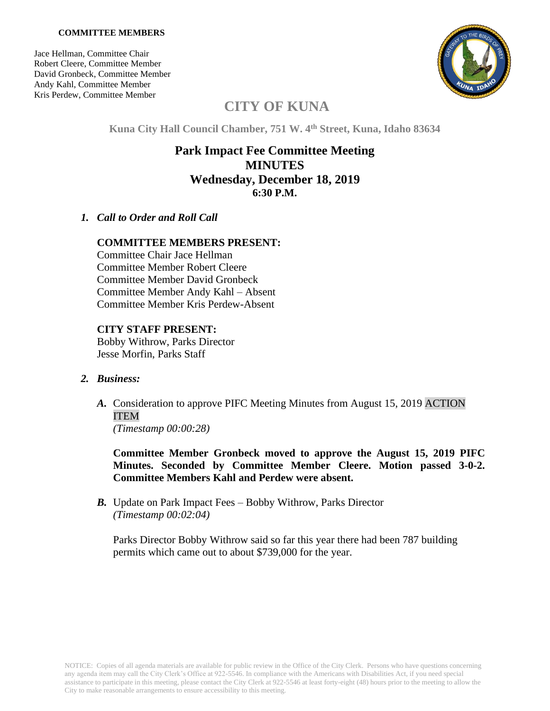#### **COMMITTEE MEMBERS**

Jace Hellman, Committee Chair Robert Cleere, Committee Member David Gronbeck, Committee Member Andy Kahl, Committee Member Kris Perdew, Committee Member



# **CITY OF KUNA**

**Kuna City Hall Council Chamber, 751 W. 4 th Street, Kuna, Idaho 83634**

## **Park Impact Fee Committee Meeting MINUTES Wednesday, December 18, 2019 6:30 P.M.**

### *1. Call to Order and Roll Call*

### **COMMITTEE MEMBERS PRESENT:**

Committee Chair Jace Hellman Committee Member Robert Cleere Committee Member David Gronbeck Committee Member Andy Kahl – Absent Committee Member Kris Perdew-Absent

### **CITY STAFF PRESENT:**

Bobby Withrow, Parks Director Jesse Morfin, Parks Staff

### *2. Business:*

*A.* Consideration to approve PIFC Meeting Minutes from August 15, 2019 ACTION ITEM

*(Timestamp 00:00:28)*

**Committee Member Gronbeck moved to approve the August 15, 2019 PIFC Minutes. Seconded by Committee Member Cleere. Motion passed 3-0-2. Committee Members Kahl and Perdew were absent.**

*B.* Update on Park Impact Fees – Bobby Withrow, Parks Director *(Timestamp 00:02:04)*

Parks Director Bobby Withrow said so far this year there had been 787 building permits which came out to about \$739,000 for the year.